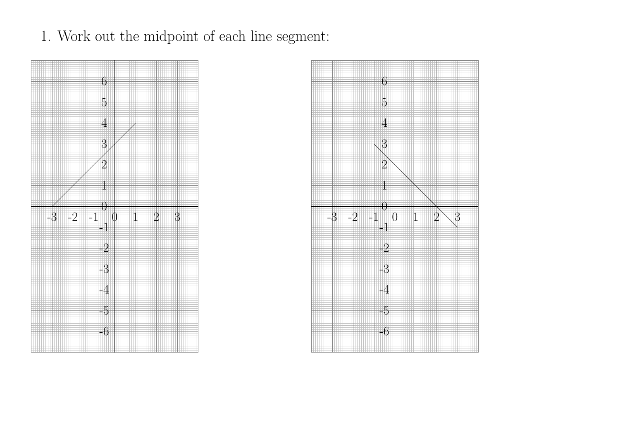1. Work out the midpoint of each line segment:



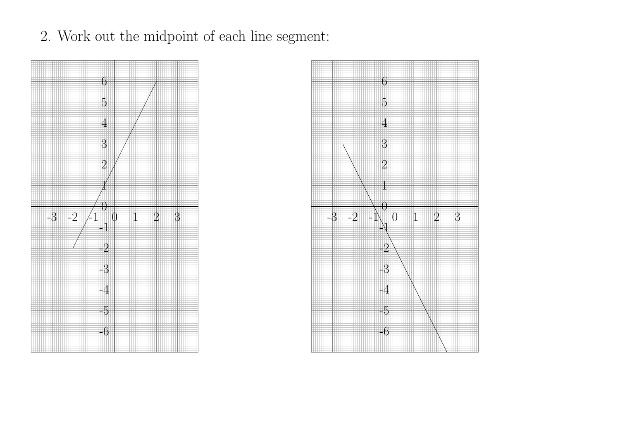

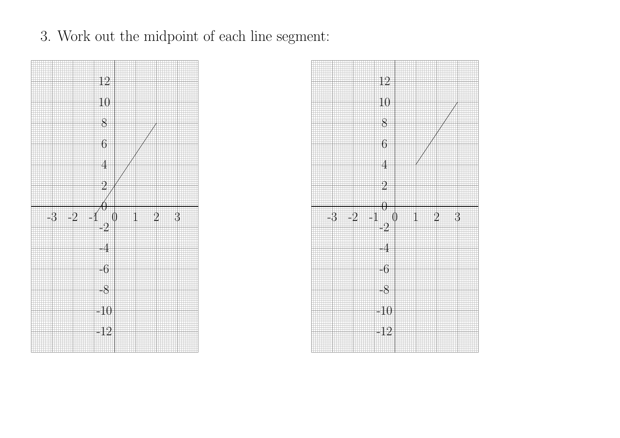

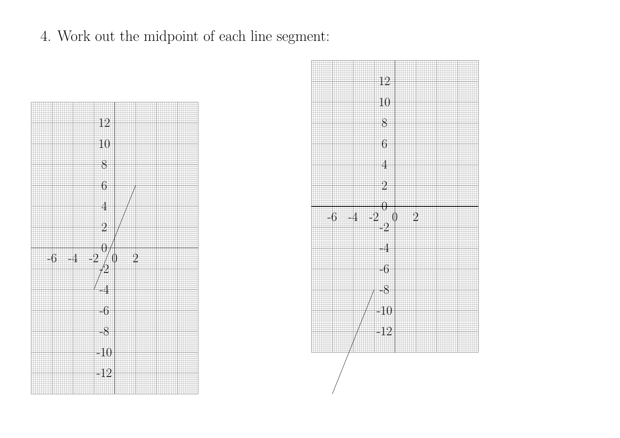

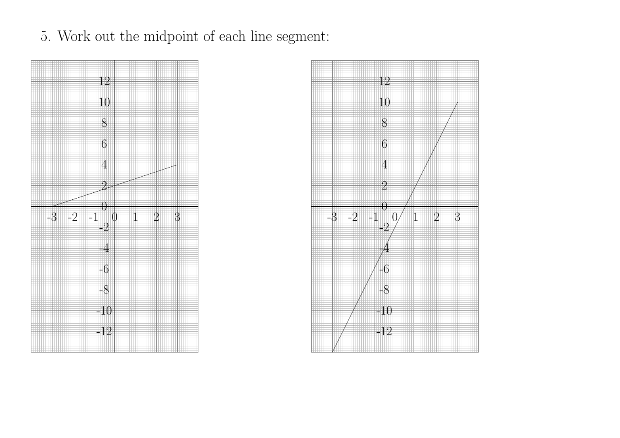

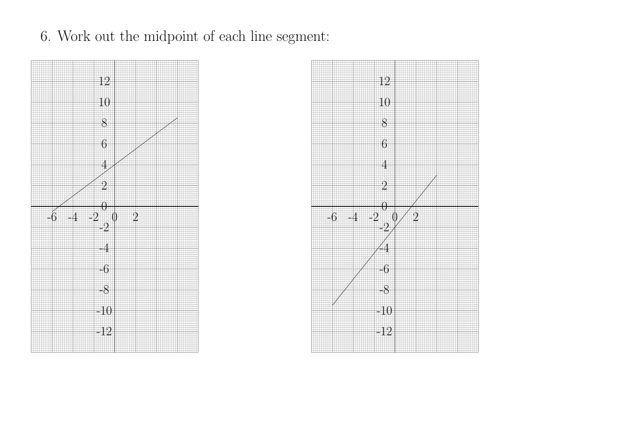6. Work out the midpoint of each line segment:



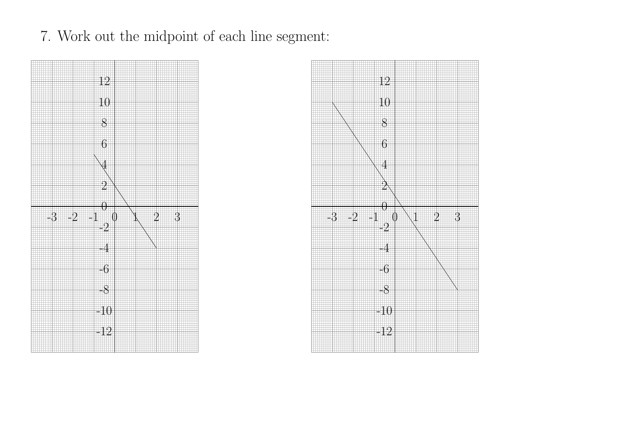7. Work out the midpoint of each line segment:



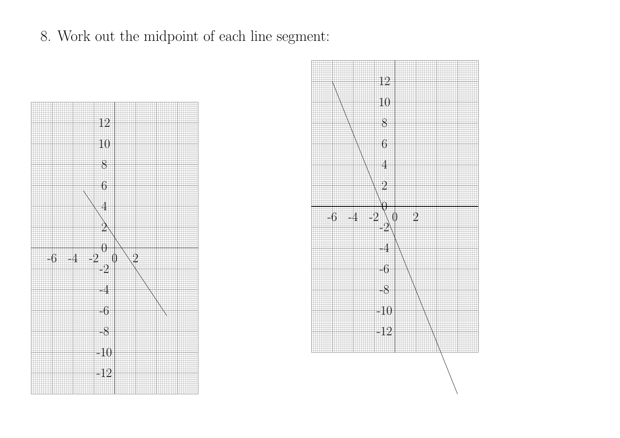

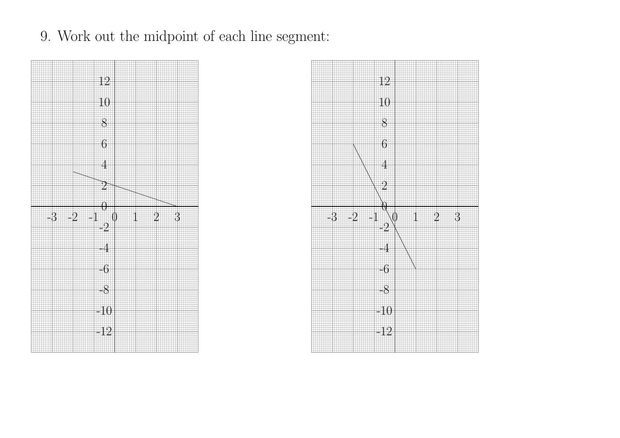